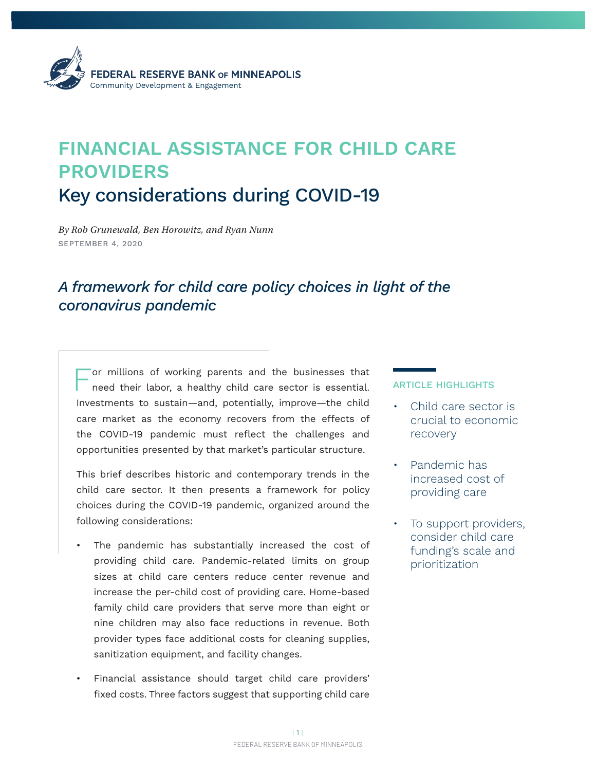

# **FINANCIAL ASSISTANCE FOR CHILD CARE PROVIDERS**  Key considerations during COVID-19

*By Rob Grunewald, Ben Horowitz, and Ryan Nunn* SEPTEMBER 4, 2020

## *A framework for child care policy choices in light of the coronavirus pandemic*

For millions of working parents and the businesses that need their labor, a healthy child care sector is essential. Investments to sustain—and, potentially, improve—the child care market as the economy recovers from the effects of the COVID-19 pandemic must reflect the challenges and opportunities presented by that market's particular structure.

This brief describes historic and contemporary trends in the child care sector. It then presents a framework for policy choices during the COVID-19 pandemic, organized around the following considerations:

- The pandemic has substantially increased the cost of providing child care. Pandemic-related limits on group sizes at child care centers reduce center revenue and increase the per-child cost of providing care. Home-based family child care providers that serve more than eight or nine children may also face reductions in revenue. Both provider types face additional costs for cleaning supplies, sanitization equipment, and facility changes.
- Financial assistance should target child care providers' fixed costs. Three factors suggest that supporting child care

#### ARTICLE HIGHLIGHTS

- Child care sector is crucial to economic recovery
- Pandemic has increased cost of providing care
- To support providers, consider child care funding's scale and prioritization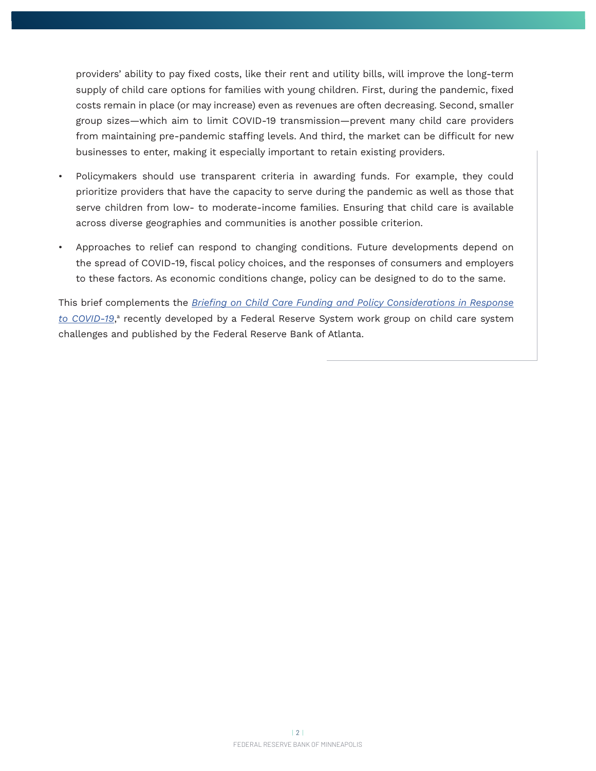providers' ability to pay fixed costs, like their rent and utility bills, will improve the long-term supply of child care options for families with young children. First, during the pandemic, fixed costs remain in place (or may increase) even as revenues are often decreasing. Second, smaller group sizes—which aim to limit COVID-19 transmission—prevent many child care providers from maintaining pre-pandemic staffing levels. And third, the market can be difficult for new businesses to enter, making it especially important to retain existing providers.

- Policymakers should use transparent criteria in awarding funds. For example, they could prioritize providers that have the capacity to serve during the pandemic as well as those that serve children from low- to moderate-income families. Ensuring that child care is available across diverse geographies and communities is another possible criterion.
- Approaches to relief can respond to changing conditions. Future developments depend on the spread of COVID-19, fiscal policy choices, and the responses of consumers and employers to these factors. As economic conditions change, policy can be designed to do to the same.

This brief complements the *[Briefing on Child Care Funding and Policy Considerations in Response](https://www.frbatlanta.org/-/media/documents/community-development/publications/special/200826-childcare-funding-and-policy-considerations-in-response-to-covid-19/childcare-funding-and-policy-considerations-in-response-to-covid-19.pdf)*  [to COVID-19](https://www.frbatlanta.org/-/media/documents/community-development/publications/special/200826-childcare-funding-and-policy-considerations-in-response-to-covid-19/childcare-funding-and-policy-considerations-in-response-to-covid-19.pdf),ª recently developed by a Federal Reserve System work group on child care system challenges and published by the Federal Reserve Bank of Atlanta.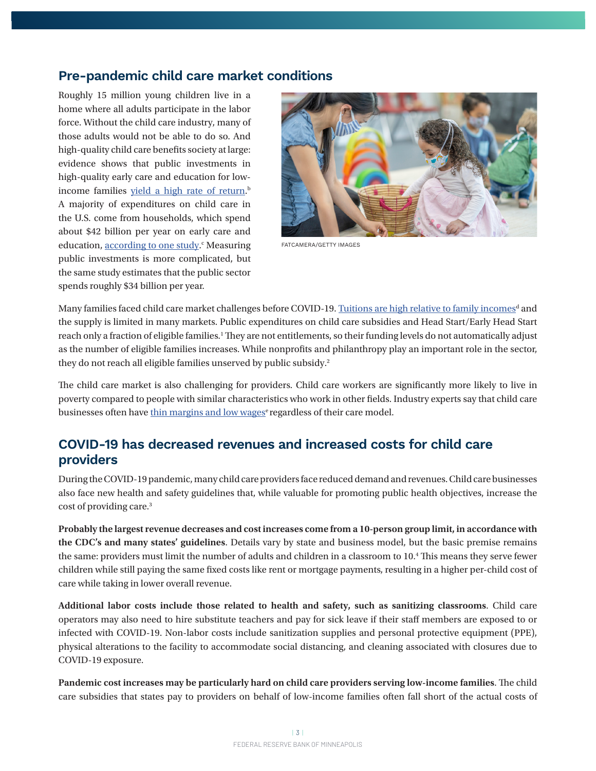## **Pre-pandemic child care market conditions**

Roughly 15 million young children live in a home where all adults participate in the labor force. Without the child care industry, many of those adults would not be able to do so. And high-quality child care benefits society at large: evidence shows that public investments in high-quality early care and education for lowincome families <u>yield a high rate of return</u>.<sup>b</sup> A majority of expenditures on child care in the U.S. come from households, which spend about \$42 billion per year on early care and education, [according to one study.](https://cscce.berkeley.edu/whos-paying-now-the-explicit-and-implicit-costs-of-the-current-early-care-and-education-system/)<sup>c</sup> Measuring public investments is more complicated, but the same study estimates that the public sector spends roughly \$34 billion per year.



FATCAMERA/GETTY IMAGES

Many families faced child care market challenges before COVID-19. <u>[Tuitions are high relative to family incomes](https://www.minneapolisfed.org/article/2019/differentiating-between-price-and-cost-in-the-poorly-functioning-child-care-market)<sup>d</sup> and</u> the supply is limited in many markets. Public expenditures on child care subsidies and Head Start/Early Head Start reach only a fraction of eligible families.<sup>1</sup> They are not entitlements, so their funding levels do not automatically adjust as the number of eligible families increases. While nonprofits and philanthropy play an important role in the sector, they do not reach all eligible families unserved by public subsidy.<sup>2</sup>

The child care market is also challenging for providers. Child care workers are significantly more likely to live in poverty compared to people with similar characteristics who work in other fields. Industry experts say that child care businesses often have thin margins and low wages<sup>e</sup> regardless of their care model.

## **COVID-19 has decreased revenues and increased costs for child care providers**

During the COVID-19 pandemic, many child care providers face reduced demand and revenues. Child care businesses also face new health and safety guidelines that, while valuable for promoting public health objectives, increase the cost of providing care.3

**Probably the largest revenue decreases and cost increases come from a 10-person group limit, in accordance with the CDC's and many states' guidelines**. Details vary by state and business model, but the basic premise remains the same: providers must limit the number of adults and children in a classroom to 10.4 This means they serve fewer children while still paying the same fixed costs like rent or mortgage payments, resulting in a higher per-child cost of care while taking in lower overall revenue.

**Additional labor costs include those related to health and safety, such as sanitizing classrooms**. Child care operators may also need to hire substitute teachers and pay for sick leave if their staff members are exposed to or infected with COVID-19. Non-labor costs include sanitization supplies and personal protective equipment (PPE), physical alterations to the facility to accommodate social distancing, and cleaning associated with closures due to COVID-19 exposure.

**Pandemic cost increases may be particularly hard on child care providers serving low-income families**. The child care subsidies that states pay to providers on behalf of low-income families often fall short of the actual costs of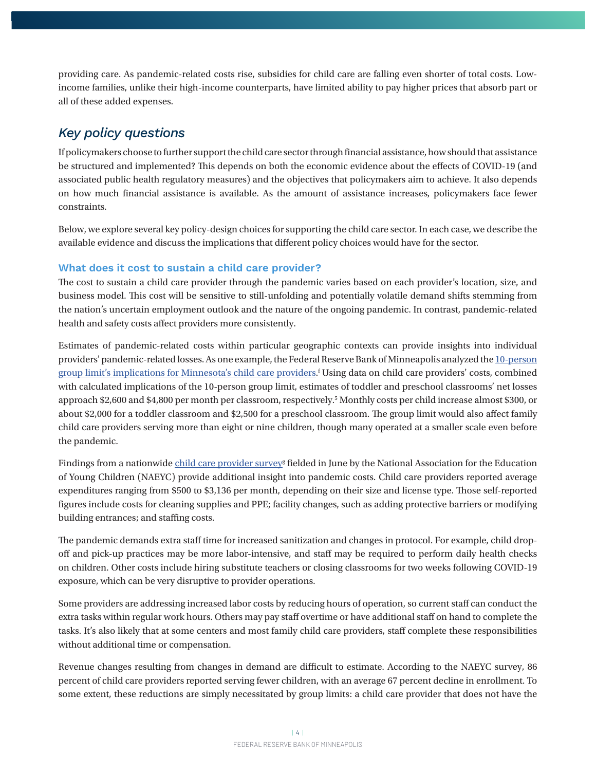providing care. As pandemic-related costs rise, subsidies for child care are falling even shorter of total costs. Lowincome families, unlike their high-income counterparts, have limited ability to pay higher prices that absorb part or all of these added expenses.

## *Key policy questions*

If policymakers choose to further support the child care sector through financial assistance, how should that assistance be structured and implemented? This depends on both the economic evidence about the effects of COVID-19 (and associated public health regulatory measures) and the objectives that policymakers aim to achieve. It also depends on how much financial assistance is available. As the amount of assistance increases, policymakers face fewer constraints.

Below, we explore several key policy-design choices for supporting the child care sector. In each case, we describe the available evidence and discuss the implications that different policy choices would have for the sector.

#### **What does it cost to sustain a child care provider?**

The cost to sustain a child care provider through the pandemic varies based on each provider's location, size, and business model. This cost will be sensitive to still-unfolding and potentially volatile demand shifts stemming from the nation's uncertain employment outlook and the nature of the ongoing pandemic. In contrast, pandemic-related health and safety costs affect providers more consistently.

Estimates of pandemic-related costs within particular geographic contexts can provide insights into individual providers' pandemic-related losses. As one example, the Federal Reserve Bank of Minneapolis analyzed the [10-person](https://www.minneapolisfed.org/article/2020/how-a-covid-19-10-person-group-limit-affects-minnesotas-child-care-providers) [group limit's implications for Minnesota's child care providers.](https://www.minneapolisfed.org/article/2020/how-a-covid-19-10-person-group-limit-affects-minnesotas-child-care-providers) f Using data on child care providers' costs, combined with calculated implications of the 10-person group limit, estimates of toddler and preschool classrooms' net losses approach \$2,600 and \$4,800 per month per classroom, respectively.<sup>5</sup> Monthly costs per child increase almost \$300, or about \$2,000 for a toddler classroom and \$2,500 for a preschool classroom. The group limit would also affect family child care providers serving more than eight or nine children, though many operated at a smaller scale even before the pandemic.

Findings from a nationwide <u>[child care provider survey](https://www.naeyc.org/sites/default/files/globally-shared/downloads/PDFs/our-work/public-policy-advocacy/holding_on_until_help_comes.survey_analysis_july_2020.pdf)</u><sup>g</sup> fielded in June by the National Association for the Education of Young Children (NAEYC) provide additional insight into pandemic costs. Child care providers reported average expenditures ranging from \$500 to \$3,136 per month, depending on their size and license type. Those self-reported figures include costs for cleaning supplies and PPE; facility changes, such as adding protective barriers or modifying building entrances; and staffing costs.

The pandemic demands extra staff time for increased sanitization and changes in protocol. For example, child dropoff and pick-up practices may be more labor-intensive, and staff may be required to perform daily health checks on children. Other costs include hiring substitute teachers or closing classrooms for two weeks following COVID-19 exposure, which can be very disruptive to provider operations.

Some providers are addressing increased labor costs by reducing hours of operation, so current staff can conduct the extra tasks within regular work hours. Others may pay staff overtime or have additional staff on hand to complete the tasks. It's also likely that at some centers and most family child care providers, staff complete these responsibilities without additional time or compensation.

Revenue changes resulting from changes in demand are difficult to estimate. According to the NAEYC survey, 86 percent of child care providers reported serving fewer children, with an average 67 percent decline in enrollment. To some extent, these reductions are simply necessitated by group limits: a child care provider that does not have the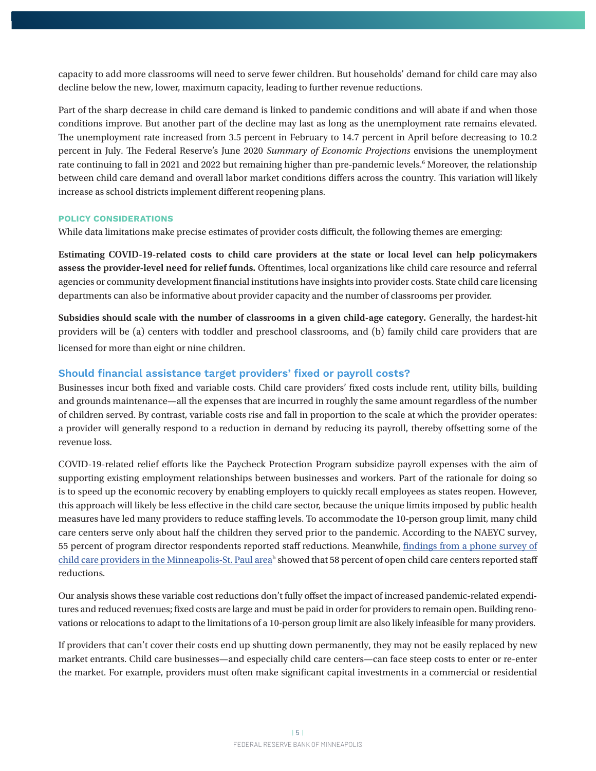capacity to add more classrooms will need to serve fewer children. But households' demand for child care may also decline below the new, lower, maximum capacity, leading to further revenue reductions.

Part of the sharp decrease in child care demand is linked to pandemic conditions and will abate if and when those conditions improve. But another part of the decline may last as long as the unemployment rate remains elevated. The unemployment rate increased from 3.5 percent in February to 14.7 percent in April before decreasing to 10.2 percent in July. The Federal Reserve's June 2020 *Summary of Economic Projections* envisions the unemployment rate continuing to fall in 2021 and 2022 but remaining higher than pre-pandemic levels.6 Moreover, the relationship between child care demand and overall labor market conditions differs across the country. This variation will likely increase as school districts implement different reopening plans.

#### **POLICY CONSIDERATIONS**

While data limitations make precise estimates of provider costs difficult, the following themes are emerging:

**Estimating COVID-19-related costs to child care providers at the state or local level can help policymakers assess the provider-level need for relief funds.** Oftentimes, local organizations like child care resource and referral agencies or community development financial institutions have insights into provider costs. State child care licensing departments can also be informative about provider capacity and the number of classrooms per provider.

**Subsidies should scale with the number of classrooms in a given child-age category.** Generally, the hardest-hit providers will be (a) centers with toddler and preschool classrooms, and (b) family child care providers that are licensed for more than eight or nine children.

#### **Should financial assistance target providers' fixed or payroll costs?**

Businesses incur both fixed and variable costs. Child care providers' fixed costs include rent, utility bills, building and grounds maintenance—all the expenses that are incurred in roughly the same amount regardless of the number of children served. By contrast, variable costs rise and fall in proportion to the scale at which the provider operates: a provider will generally respond to a reduction in demand by reducing its payroll, thereby offsetting some of the revenue loss.

COVID-19-related relief efforts like the Paycheck Protection Program subsidize payroll expenses with the aim of supporting existing employment relationships between businesses and workers. Part of the rationale for doing so is to speed up the economic recovery by enabling employers to quickly recall employees as states reopen. However, this approach will likely be less effective in the child care sector, because the unique limits imposed by public health measures have led many providers to reduce staffing levels. To accommodate the 10-person group limit, many child care centers serve only about half the children they served prior to the pandemic. According to the NAEYC survey, 55 percent of program director respondents reported staff reductions. Meanwhile, [findings from a phone survey of](https://www.thinksmall.org/wp-content/uploads/2020/06/ProviderSurvey.Covid19.2020-1.pdf)  [child care providers in the Minneapolis-St. Paul area](https://www.thinksmall.org/wp-content/uploads/2020/06/ProviderSurvey.Covid19.2020-1.pdf)<sup>h</sup> showed that 58 percent of open child care centers reported staff reductions.

Our analysis shows these variable cost reductions don't fully offset the impact of increased pandemic-related expenditures and reduced revenues; fixed costs are large and must be paid in order for providers to remain open. Building renovations or relocations to adapt to the limitations of a 10-person group limit are also likely infeasible for many providers.

If providers that can't cover their costs end up shutting down permanently, they may not be easily replaced by new market entrants. Child care businesses—and especially child care centers—can face steep costs to enter or re-enter the market. For example, providers must often make significant capital investments in a commercial or residential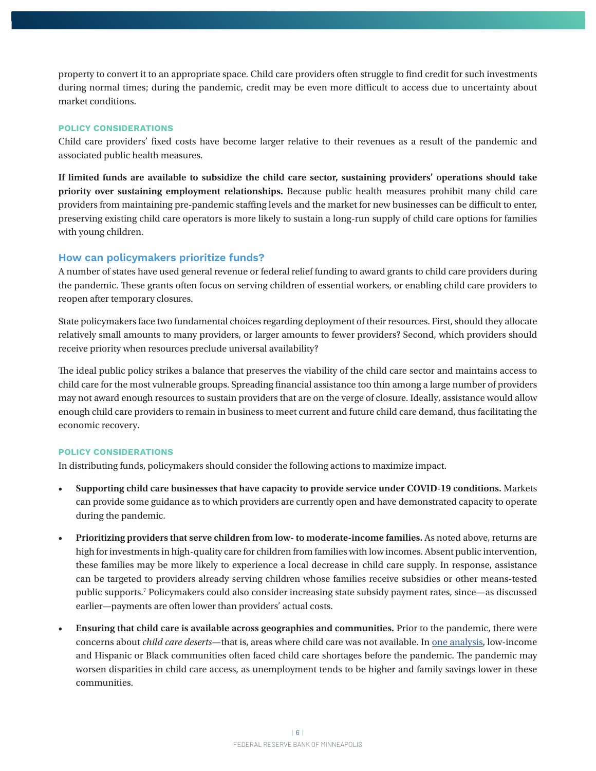property to convert it to an appropriate space. Child care providers often struggle to find credit for such investments during normal times; during the pandemic, credit may be even more difficult to access due to uncertainty about market conditions.

#### **POLICY CONSIDERATIONS**

Child care providers' fixed costs have become larger relative to their revenues as a result of the pandemic and associated public health measures.

**If limited funds are available to subsidize the child care sector, sustaining providers' operations should take priority over sustaining employment relationships.** Because public health measures prohibit many child care providers from maintaining pre-pandemic staffing levels and the market for new businesses can be difficult to enter, preserving existing child care operators is more likely to sustain a long-run supply of child care options for families with young children.

#### **How can policymakers prioritize funds?**

A number of states have used general revenue or federal relief funding to award grants to child care providers during the pandemic. These grants often focus on serving children of essential workers, or enabling child care providers to reopen after temporary closures.

State policymakers face two fundamental choices regarding deployment of their resources. First, should they allocate relatively small amounts to many providers, or larger amounts to fewer providers? Second, which providers should receive priority when resources preclude universal availability?

The ideal public policy strikes a balance that preserves the viability of the child care sector and maintains access to child care for the most vulnerable groups. Spreading financial assistance too thin among a large number of providers may not award enough resources to sustain providers that are on the verge of closure. Ideally, assistance would allow enough child care providers to remain in business to meet current and future child care demand, thus facilitating the economic recovery.

#### **POLICY CONSIDERATIONS**

In distributing funds, policymakers should consider the following actions to maximize impact.

- **Supporting child care businesses that have capacity to provide service under COVID-19 conditions.** Markets can provide some guidance as to which providers are currently open and have demonstrated capacity to operate during the pandemic.
- **Prioritizing providers that serve children from low- to moderate-income families.** As noted above, returns are high for investments in high-quality care for children from families with low incomes. Absent public intervention, these families may be more likely to experience a local decrease in child care supply. In response, assistance can be targeted to providers already serving children whose families receive subsidies or other means-tested public supports.7 Policymakers could also consider increasing state subsidy payment rates, since—as discussed earlier—payments are often lower than providers' actual costs.
- **Ensuring that child care is available across geographies and communities.** Prior to the pandemic, there were concerns about *child care deserts*—that is, areas where child care was not available. In [one analysis](https://www.americanprogress.org/issues/early-childhood/reports/2020/06/22/486433/coronavirus-will-make-child-care-deserts-worse-exacerbate-inequality/), low-income and Hispanic or Black communities often faced child care shortages before the pandemic. The pandemic may worsen disparities in child care access, as unemployment tends to be higher and family savings lower in these communities.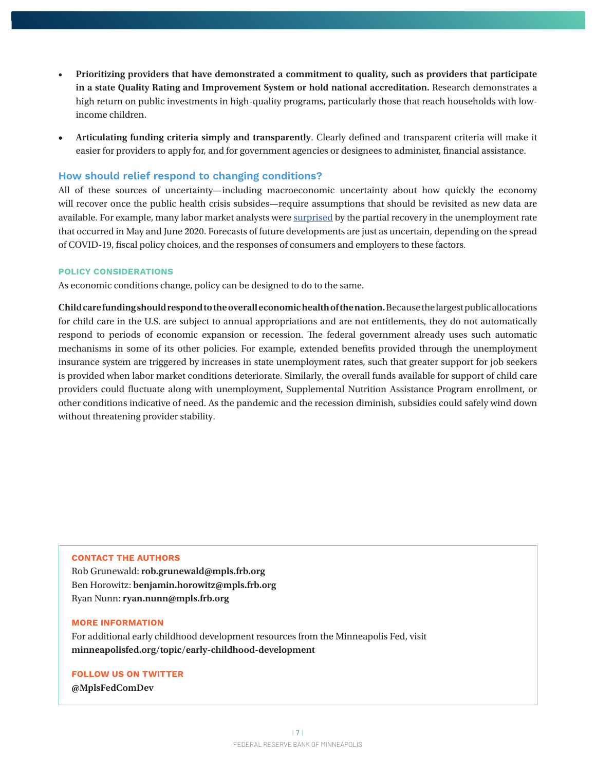- **Prioritizing providers that have demonstrated a commitment to quality, such as providers that participate in a state Quality Rating and Improvement System or hold national accreditation.** Research demonstrates a high return on public investments in high-quality programs, particularly those that reach households with lowincome children.
- **• Articulating funding criteria simply and transparently**. Clearly defined and transparent criteria will make it easier for providers to apply for, and for government agencies or designees to administer, financial assistance.

#### **How should relief respond to changing conditions?**

All of these sources of uncertainty—including macroeconomic uncertainty about how quickly the economy will recover once the public health crisis subsides—require assumptions that should be revisited as new data are available. For example, many labor market analysts were [surprised](https://www.nytimes.com/2020/06/05/business/jobs-report-stock-market-coronavirus.html) by the partial recovery in the unemployment rate that occurred in May and June 2020. Forecasts of future developments are just as uncertain, depending on the spread of COVID-19, fiscal policy choices, and the responses of consumers and employers to these factors.

#### **POLICY CONSIDERATIONS**

As economic conditions change, policy can be designed to do to the same.

**Child care funding should respond to the overall economic health of the nation.** Because the largest public allocations for child care in the U.S. are subject to annual appropriations and are not entitlements, they do not automatically respond to periods of economic expansion or recession. The federal government already uses such automatic mechanisms in some of its other policies. For example, extended benefits provided through the unemployment insurance system are triggered by increases in state unemployment rates, such that greater support for job seekers is provided when labor market conditions deteriorate. Similarly, the overall funds available for support of child care providers could fluctuate along with unemployment, Supplemental Nutrition Assistance Program enrollment, or other conditions indicative of need. As the pandemic and the recession diminish, subsidies could safely wind down without threatening provider stability.

#### **CONTACT THE AUTHORS**

Rob Grunewald: **rob.grunewald@mpls.frb.org** Ben Horowitz: **benjamin.horowitz@mpls.frb.org** Ryan Nunn: **ryan.nunn@mpls.frb.org**

#### **MORE INFORMATION**

For additional early childhood development resources from the Minneapolis Fed, visit **minneapolisfed.org/topic/early-childhood-development**

#### **FOLLOW US ON TWITTER**

**@MplsFedComDev**